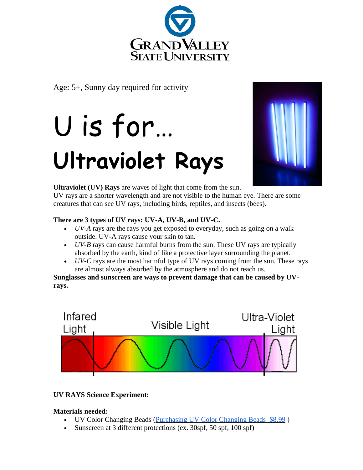

Age: 5+, Sunny day required for activity

# U is for… **Ultraviolet Rays**



**Ultraviolet (UV) Rays** are waves of light that come from the sun.

UV rays are a shorter wavelength and are not visible to the human eye. There are some creatures that can see UV rays, including birds, reptiles, and insects (bees).

## **There are 3 types of UV rays: UV-A, UV-B, and UV-C.**

- *UV-A* rays are the rays you get exposed to everyday, such as going on a walk outside. UV-A rays cause your skin to tan.
- *UV-B* rays can cause harmful burns from the sun. These UV rays are typically absorbed by the earth, kind of like a protective layer surrounding the planet.
- *UV-C* rays are the most harmful type of UV rays coming from the sun. These rays are almost always absorbed by the atmosphere and do not reach us.

**Sunglasses and sunscreen are ways to prevent damage that can be caused by UVrays.**



## **UV RAYS Science Experiment:**

## **Materials needed:**

- UV Color Changing Beads [\(Purchasing UV Color Changing Beads](https://www.amazon.com/Original-Solaractive-Color-Changing-Beads/dp/B00506DWT0) \$8.99 )
- Sunscreen at 3 different protections (ex. 30spf, 50 spf, 100 spf)